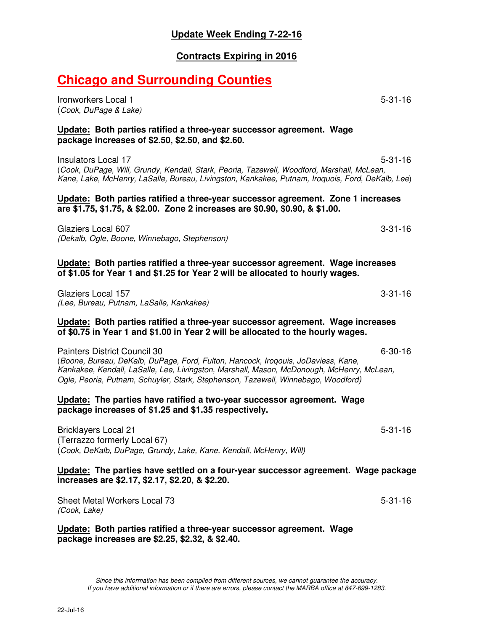### **Update Week Ending 7-22-16**

### **Contracts Expiring in 2016**

# **Chicago and Surrounding Counties**

Ironworkers Local 1 5-31-16 (*Cook, DuPage & Lake)*

#### **Update: Both parties ratified a three-year successor agreement. Wage package increases of \$2.50, \$2.50, and \$2.60.**

Insulators Local 17 **5-31-16** (*Cook, DuPage, Will, Grundy, Kendall, Stark, Peoria, Tazewell, Woodford, Marshall, McLean, Kane, Lake, McHenry, LaSalle, Bureau, Livingston, Kankakee, Putnam, Iroquois, Ford, DeKalb, Lee*)

#### **Update: Both parties ratified a three-year successor agreement. Zone 1 increases are \$1.75, \$1.75, & \$2.00. Zone 2 increases are \$0.90, \$0.90, & \$1.00.**

Glaziers Local 607 3-31-16 *(Dekalb, Ogle, Boone, Winnebago, Stephenson)* 

#### **Update: Both parties ratified a three-year successor agreement. Wage increases of \$1.05 for Year 1 and \$1.25 for Year 2 will be allocated to hourly wages.**

Glaziers Local 157 3-31-16 *(Lee, Bureau, Putnam, LaSalle, Kankakee)* 

#### **Update: Both parties ratified a three-year successor agreement. Wage increases of \$0.75 in Year 1 and \$1.00 in Year 2 will be allocated to the hourly wages.**

Painters District Council 30 6-30-16

(*Boone, Bureau, DeKalb, DuPage, Ford, Fulton, Hancock, Iroqouis, JoDaviess, Kane, Kankakee, Kendall, LaSalle, Lee, Livingston, Marshall, Mason, McDonough, McHenry, McLean, Ogle, Peoria, Putnam, Schuyler, Stark, Stephenson, Tazewell, Winnebago, Woodford)* 

#### **Update: The parties have ratified a two-year successor agreement. Wage package increases of \$1.25 and \$1.35 respectively.**

Bricklayers Local 21 **5-31-16** (Terrazzo formerly Local 67) (*Cook, DeKalb, DuPage, Grundy, Lake, Kane, Kendall, McHenry, Will)*

#### **Update: The parties have settled on a four-year successor agreement. Wage package increases are \$2.17, \$2.17, \$2.20, & \$2.20.**

Sheet Metal Workers Local 73 5-31-16 *(Cook, Lake)* 

**Update: Both parties ratified a three-year successor agreement. Wage package increases are \$2.25, \$2.32, & \$2.40.** 

*Since this information has been compiled from different sources, we cannot guarantee the accuracy. If you have additional information or if there are errors, please contact the MARBA office at 847-699-1283.*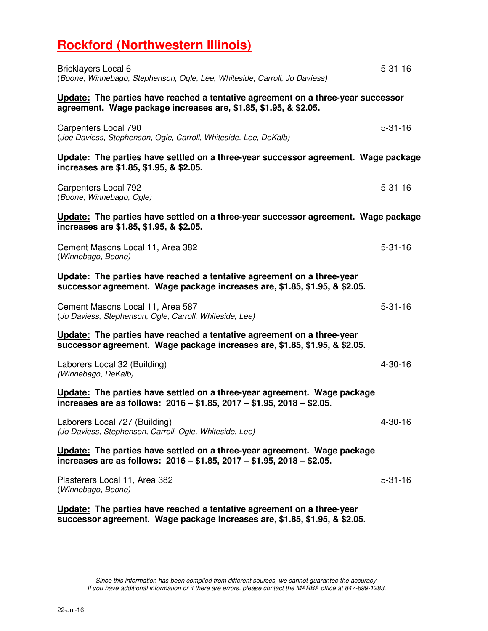# **Rockford (Northwestern Illinois)**

| <b>Bricklayers Local 6</b><br>(Boone, Winnebago, Stephenson, Ogle, Lee, Whiteside, Carroll, Jo Daviess)                                              | $5 - 31 - 16$ |
|------------------------------------------------------------------------------------------------------------------------------------------------------|---------------|
| Update: The parties have reached a tentative agreement on a three-year successor<br>agreement. Wage package increases are, \$1.85, \$1.95, & \$2.05. |               |
| Carpenters Local 790<br>(Joe Daviess, Stephenson, Ogle, Carroll, Whiteside, Lee, DeKalb)                                                             | $5 - 31 - 16$ |
| Update: The parties have settled on a three-year successor agreement. Wage package<br>increases are \$1.85, \$1.95, & \$2.05.                        |               |
| Carpenters Local 792<br>(Boone, Winnebago, Ogle)                                                                                                     | $5 - 31 - 16$ |
| Update: The parties have settled on a three-year successor agreement. Wage package<br>increases are \$1.85, \$1.95, & \$2.05.                        |               |
| Cement Masons Local 11, Area 382<br>(Winnebago, Boone)                                                                                               | $5 - 31 - 16$ |
| Update: The parties have reached a tentative agreement on a three-year<br>successor agreement. Wage package increases are, \$1.85, \$1.95, & \$2.05. |               |
| Cement Masons Local 11, Area 587<br>(Jo Daviess, Stephenson, Ogle, Carroll, Whiteside, Lee)                                                          | $5 - 31 - 16$ |
| Update: The parties have reached a tentative agreement on a three-year<br>successor agreement. Wage package increases are, \$1.85, \$1.95, & \$2.05. |               |
| Laborers Local 32 (Building)<br>(Winnebago, DeKalb)                                                                                                  | $4 - 30 - 16$ |
| Update: The parties have settled on a three-year agreement. Wage package<br>increases are as follows: 2016 - \$1.85, 2017 - \$1.95, 2018 - \$2.05.   |               |
| Laborers Local 727 (Building)<br>(Jo Daviess, Stephenson, Carroll, Ogle, Whiteside, Lee)                                                             | 4-30-16       |
| Update: The parties have settled on a three-year agreement. Wage package<br>increases are as follows: 2016 - \$1.85, 2017 - \$1.95, 2018 - \$2.05.   |               |
| Plasterers Local 11, Area 382<br>(Winnebago, Boone)                                                                                                  | $5 - 31 - 16$ |
| Update: The parties have reached a tentative agreement on a three-year<br>successor agreement. Wage package increases are, \$1.85, \$1.95, & \$2.05. |               |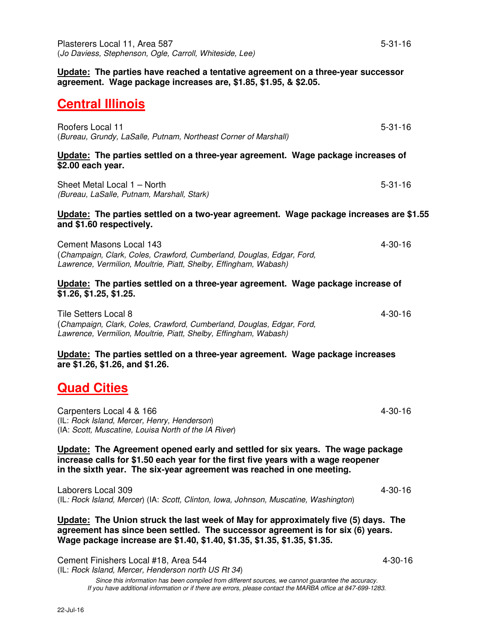**Update: The parties have reached a tentative agreement on a three-year successor agreement. Wage package increases are, \$1.85, \$1.95, & \$2.05.** 

### **Central Illinois**

| (Bureau, Grundy, LaSalle, Putnam, Northeast Corner of Marshall)                                       |
|-------------------------------------------------------------------------------------------------------|
| Update: The parties settled on a three-year agreement. Wage package increases of<br>\$2.00 each year. |

Roofers Local 11 5-31-16

Sheet Metal Local 1 – North 5-31-16 *(Bureau, LaSalle, Putnam, Marshall, Stark)*

#### **Update: The parties settled on a two-year agreement. Wage package increases are \$1.55 and \$1.60 respectively.**

Cement Masons Local 143 4-30-16 (*Champaign, Clark, Coles, Crawford, Cumberland, Douglas, Edgar, Ford, Lawrence, Vermilion, Moultrie, Piatt, Shelby, Effingham, Wabash)*

#### **Update: The parties settled on a three-year agreement. Wage package increase of \$1.26, \$1.25, \$1.25.**

Tile Setters Local 8 4-30-16 (*Champaign, Clark, Coles, Crawford, Cumberland, Douglas, Edgar, Ford, Lawrence, Vermilion, Moultrie, Piatt, Shelby, Effingham, Wabash)* 

**Update: The parties settled on a three-year agreement. Wage package increases are \$1.26, \$1.26, and \$1.26.** 

### **Quad Cities**

Carpenters Local 4 & 166 4-30-16 4-30-16 (IL: *Rock Island, Mercer, Henry, Henderson*) (IA: *Scott, Muscatine, Louisa North of the IA River*)

**Update: The Agreement opened early and settled for six years. The wage package increase calls for \$1.50 each year for the first five years with a wage reopener in the sixth year. The six-year agreement was reached in one meeting.** 

Laborers Local 309 4-30-16 (IL*: Rock Island, Mercer*) (IA: *Scott, Clinton, Iowa, Johnson, Muscatine, Washington*)

**Update: The Union struck the last week of May for approximately five (5) days. The agreement has since been settled. The successor agreement is for six (6) years. Wage package increase are \$1.40, \$1.40, \$1.35, \$1.35, \$1.35, \$1.35.** 

Cement Finishers Local #18, Area 544 4-30-16 (IL: *Rock Island, Mercer, Henderson north US Rt 34*)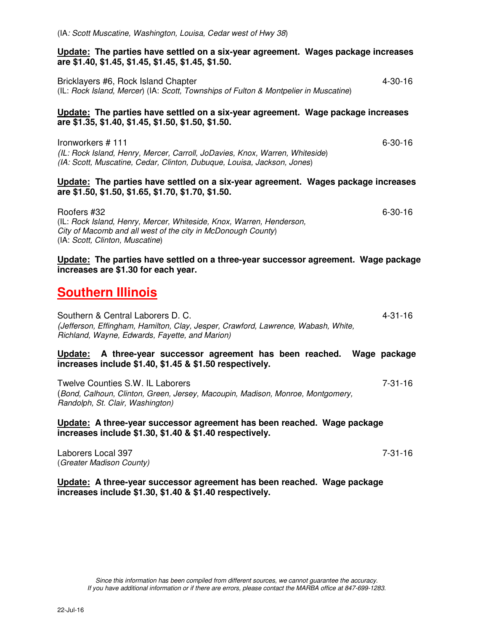#### **Update: The parties have settled on a six-year agreement. Wages package increases are \$1.40, \$1.45, \$1.45, \$1.45, \$1.45, \$1.50.**

Bricklayers #6, Rock Island Chapter 4-30-16 (IL: *Rock Island, Mercer*) (IA: *Scott, Townships of Fulton & Montpelier in Muscatine*)

#### **Update: The parties have settled on a six-year agreement. Wage package increases are \$1.35, \$1.40, \$1.45, \$1.50, \$1.50, \$1.50.**

Ironworkers # 111 6-30-16 *(IL: Rock Island, Henry, Mercer, Carroll, JoDavies, Knox, Warren, Whiteside*) *(IA: Scott, Muscatine, Cedar, Clinton, Dubuque, Louisa, Jackson, Jones*)

#### **Update: The parties have settled on a six-year agreement. Wages package increases are \$1.50, \$1.50, \$1.65, \$1.70, \$1.70, \$1.50.**

Roofers #32 6-30-16 (IL: *Rock Island, Henry, Mercer, Whiteside, Knox, Warren, Henderson, City of Macomb and all west of the city in McDonough County*) (IA: *Scott, Clinton, Muscatine*)

**Update: The parties have settled on a three-year successor agreement. Wage package increases are \$1.30 for each year.** 

### **Southern Illinois**

Southern & Central Laborers D. C. 4-31-16 *(Jefferson, Effingham, Hamilton, Clay, Jesper, Crawford, Lawrence, Wabash, White, Richland, Wayne, Edwards, Fayette, and Marion)* 

#### **Update: A three-year successor agreement has been reached. Wage package increases include \$1.40, \$1.45 & \$1.50 respectively.**

Twelve Counties S.W. IL Laborers **7-31-16** (*Bond, Calhoun, Clinton, Green, Jersey, Macoupin, Madison, Monroe, Montgomery, Randolph, St. Clair, Washington)* 

#### **Update: A three-year successor agreement has been reached. Wage package increases include \$1.30, \$1.40 & \$1.40 respectively.**

Laborers Local 397 **7-31-16** (*Greater Madison County)* 

**Update: A three-year successor agreement has been reached. Wage package increases include \$1.30, \$1.40 & \$1.40 respectively.**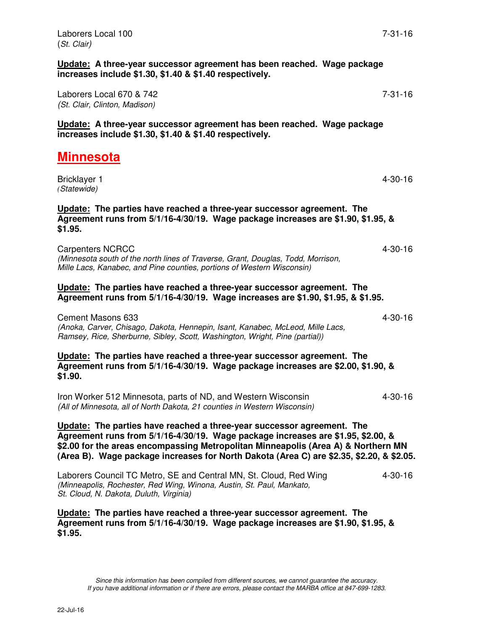**Update: A three-year successor agreement has been reached. Wage package increases include \$1.30, \$1.40 & \$1.40 respectively.**

Laborers Local 670 & 742 7-31-16 *(St. Clair, Clinton, Madison)* 

**Update: A three-year successor agreement has been reached. Wage package increases include \$1.30, \$1.40 & \$1.40 respectively.** 

# **Minnesota**

Bricklayer 1 4-30-16 *(Statewide)*

**Update: The parties have reached a three-year successor agreement. The Agreement runs from 5/1/16-4/30/19. Wage package increases are \$1.90, \$1.95, & \$1.95.** 

Carpenters NCRCC 4-30-16 *(Minnesota south of the north lines of Traverse, Grant, Douglas, Todd, Morrison, Mille Lacs, Kanabec, and Pine counties, portions of Western Wisconsin)* 

**Update: The parties have reached a three-year successor agreement. The Agreement runs from 5/1/16-4/30/19. Wage increases are \$1.90, \$1.95, & \$1.95.** 

Cement Masons 633 4-30-16 *(Anoka, Carver, Chisago, Dakota, Hennepin, Isant, Kanabec, McLeod, Mille Lacs, Ramsey, Rice, Sherburne, Sibley, Scott, Washington, Wright, Pine (partial))*

**Update: The parties have reached a three-year successor agreement. The Agreement runs from 5/1/16-4/30/19. Wage package increases are \$2.00, \$1.90, & \$1.90.** 

Iron Worker 512 Minnesota, parts of ND, and Western Wisconsin 4-30-16 *(All of Minnesota, all of North Dakota, 21 counties in Western Wisconsin)* 

**Update: The parties have reached a three-year successor agreement. The Agreement runs from 5/1/16-4/30/19. Wage package increases are \$1.95, \$2.00, & \$2.00 for the areas encompassing Metropolitan Minneapolis (Area A) & Northern MN (Area B). Wage package increases for North Dakota (Area C) are \$2.35, \$2.20, & \$2.05.** 

Laborers Council TC Metro, SE and Central MN, St. Cloud, Red Wing  $\qquad \qquad 4-30-16$ *(Minneapolis, Rochester, Red Wing, Winona, Austin, St. Paul, Mankato, St. Cloud, N. Dakota, Duluth, Virginia)* 

**Update: The parties have reached a three-year successor agreement. The Agreement runs from 5/1/16-4/30/19. Wage package increases are \$1.90, \$1.95, & \$1.95.**

*Since this information has been compiled from different sources, we cannot guarantee the accuracy. If you have additional information or if there are errors, please contact the MARBA office at 847-699-1283.*